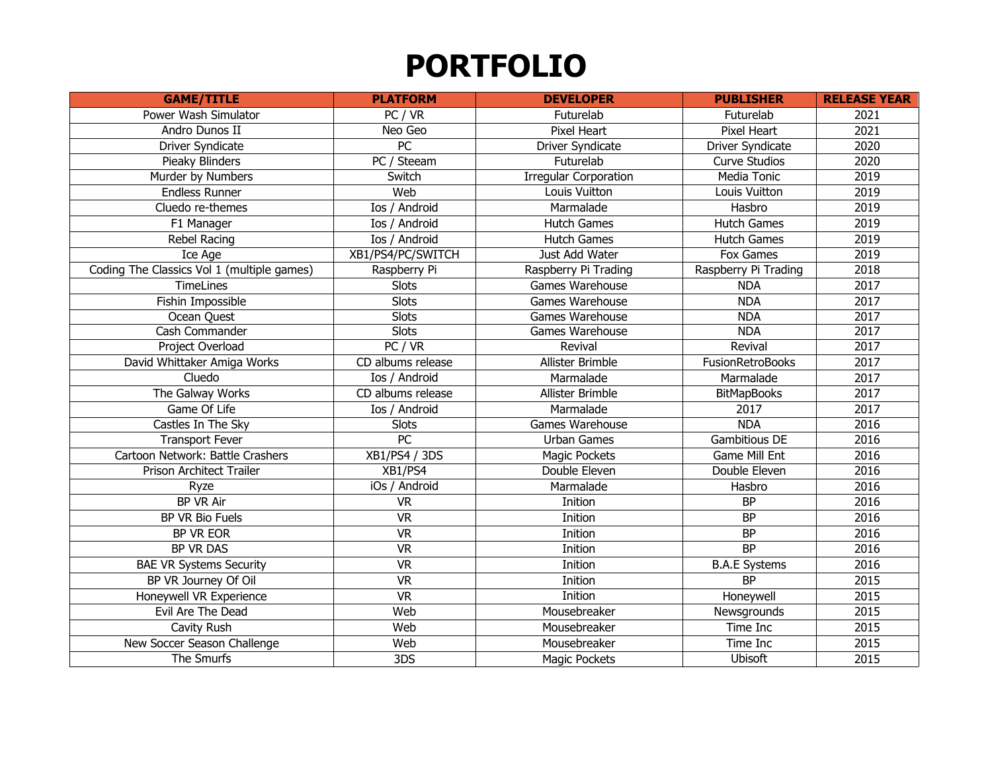| <b>GAME/TITLE</b>                          | <b>PLATFORM</b>      | <b>DEVELOPER</b>             | <b>PUBLISHER</b>     | <b>RELEASE YEAR</b> |
|--------------------------------------------|----------------------|------------------------------|----------------------|---------------------|
| Power Wash Simulator                       | PC / VR              | Futurelab                    | Futurelab            | 2021                |
| Andro Dunos II                             | Neo Geo              | Pixel Heart                  | Pixel Heart          | 2021                |
| Driver Syndicate                           | $\overline{PC}$      | Driver Syndicate             | Driver Syndicate     | 2020                |
| Pieaky Blinders                            | PC / Steeam          | Futurelab                    | <b>Curve Studios</b> | 2020                |
| Murder by Numbers                          | Switch               | <b>Irregular Corporation</b> | Media Tonic          | 2019                |
| <b>Endless Runner</b>                      | Web                  | Louis Vuitton                | Louis Vuitton        | 2019                |
| Cluedo re-themes                           | Ios / Android        | Marmalade                    | Hasbro               | 2019                |
| F1 Manager                                 | Ios / Android        | <b>Hutch Games</b>           | <b>Hutch Games</b>   | 2019                |
| Rebel Racing                               | Ios / Android        | <b>Hutch Games</b>           | <b>Hutch Games</b>   | 2019                |
| Ice Age                                    | XB1/PS4/PC/SWITCH    | Just Add Water               | Fox Games            | 2019                |
| Coding The Classics Vol 1 (multiple games) | Raspberry Pi         | Raspberry Pi Trading         | Raspberry Pi Trading | 2018                |
| <b>TimeLines</b>                           | <b>Slots</b>         | Games Warehouse              | <b>NDA</b>           | 2017                |
| Fishin Impossible                          | <b>Slots</b>         | Games Warehouse              | <b>NDA</b>           | 2017                |
| Ocean Quest                                | <b>Slots</b>         | Games Warehouse              | <b>NDA</b>           | 2017                |
| Cash Commander                             | <b>Slots</b>         | Games Warehouse              | <b>NDA</b>           | 2017                |
| Project Overload                           | PC/VR                | Revival                      | Revival              | 2017                |
| David Whittaker Amiga Works                | CD albums release    | Allister Brimble             | FusionRetroBooks     | 2017                |
| Cluedo                                     | Ios / Android        | Marmalade                    | Marmalade            | 2017                |
| The Galway Works                           | CD albums release    | Allister Brimble             | <b>BitMapBooks</b>   | 2017                |
| Game Of Life                               | Ios / Android        | Marmalade                    | 2017                 | 2017                |
| Castles In The Sky                         | <b>Slots</b>         | Games Warehouse              | <b>NDA</b>           | 2016                |
| <b>Transport Fever</b>                     | PC                   | Urban Games                  | <b>Gambitious DE</b> | 2016                |
| Cartoon Network: Battle Crashers           | <b>XB1/PS4 / 3DS</b> | Magic Pockets                | <b>Game Mill Ent</b> | 2016                |
| Prison Architect Trailer                   | XB1/PS4              | Double Eleven                | Double Eleven        | 2016                |
| Ryze                                       | iOs / Android        | Marmalade                    | Hasbro               | 2016                |
| <b>BP VR Air</b>                           | <b>VR</b>            | Inition                      | <b>BP</b>            | 2016                |
| BP VR Bio Fuels                            | <b>VR</b>            | Inition                      | <b>BP</b>            | 2016                |
| BP VR EOR                                  | <b>VR</b>            | Inition                      | <b>BP</b>            | 2016                |
| BP VR DAS                                  | <b>VR</b>            | Inition                      | <b>BP</b>            | 2016                |
| <b>BAE VR Systems Security</b>             | <b>VR</b>            | Inition                      | <b>B.A.E Systems</b> | 2016                |
| BP VR Journey Of Oil                       | <b>VR</b>            | Inition                      | <b>BP</b>            | 2015                |
| Honeywell VR Experience                    | <b>VR</b>            | Inition                      | Honeywell            | 2015                |
| Evil Are The Dead                          | Web                  | Mousebreaker                 | Newsgrounds          | 2015                |
| Cavity Rush                                | Web                  | Mousebreaker                 | Time Inc             | 2015                |
| New Soccer Season Challenge                | Web                  | Mousebreaker                 | Time Inc             | 2015                |
| The Smurfs                                 | 3DS                  | Magic Pockets                | Ubisoft              | 2015                |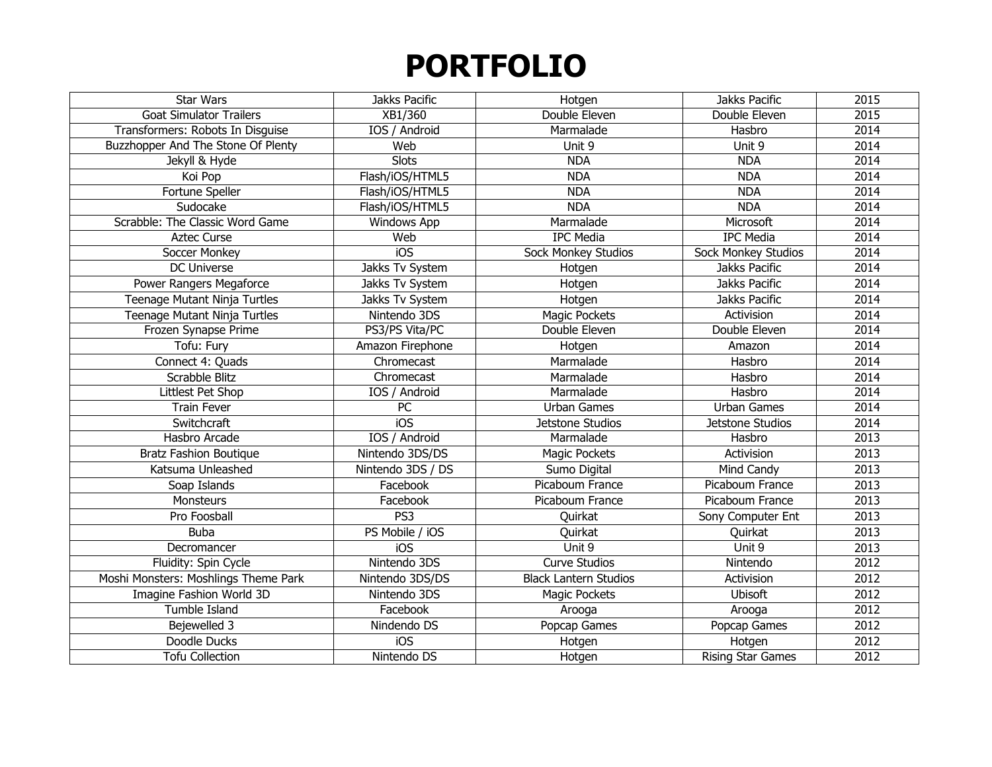| <b>Star Wars</b>                     | Jakks Pacific        | Hotgen                       | Jakks Pacific              | 2015 |
|--------------------------------------|----------------------|------------------------------|----------------------------|------|
| <b>Goat Simulator Trailers</b>       | XB1/360              | Double Eleven                | Double Eleven              | 2015 |
| Transformers: Robots In Disguise     | IOS / Android        | Marmalade                    | Hasbro                     | 2014 |
| Buzzhopper And The Stone Of Plenty   | Web                  | Unit 9                       | Unit 9                     | 2014 |
| Jekyll & Hyde                        | <b>Slots</b>         | <b>NDA</b>                   | <b>NDA</b>                 | 2014 |
| Koi Pop                              | Flash/iOS/HTML5      | <b>NDA</b>                   | <b>NDA</b>                 | 2014 |
| Fortune Speller                      | Flash/iOS/HTML5      | <b>NDA</b>                   | <b>NDA</b>                 | 2014 |
| Sudocake                             | Flash/iOS/HTML5      | <b>NDA</b>                   | <b>NDA</b>                 | 2014 |
| Scrabble: The Classic Word Game      | <b>Windows App</b>   | Marmalade                    | Microsoft                  | 2014 |
| <b>Aztec Curse</b>                   | Web                  | <b>IPC Media</b>             | <b>IPC Media</b>           | 2014 |
| Soccer Monkey                        | $\overline{10S}$     | <b>Sock Monkey Studios</b>   | <b>Sock Monkey Studios</b> | 2014 |
| DC Universe                          | Jakks Tv System      | Hotgen                       | Jakks Pacific              | 2014 |
| Power Rangers Megaforce              | Jakks Tv System      | Hotgen                       | Jakks Pacific              | 2014 |
| Teenage Mutant Ninja Turtles         | Jakks Tv System      | Hotgen                       | Jakks Pacific              | 2014 |
| Teenage Mutant Ninja Turtles         | Nintendo 3DS         | Magic Pockets                | Activision                 | 2014 |
| Frozen Synapse Prime                 | PS3/PS Vita/PC       | Double Eleven                | Double Eleven              | 2014 |
| Tofu: Fury                           | Amazon Firephone     | Hotgen                       | Amazon                     | 2014 |
| Connect 4: Quads                     | Chromecast           | Marmalade                    | Hasbro                     | 2014 |
| Scrabble Blitz                       | Chromecast           | Marmalade                    | Hasbro                     | 2014 |
| Littlest Pet Shop                    | <b>IOS</b> / Android | Marmalade                    | Hasbro                     | 2014 |
| <b>Train Fever</b>                   | PC                   | <b>Urban Games</b>           | <b>Urban Games</b>         | 2014 |
| Switchcraft                          | iOS                  | Jetstone Studios             | Jetstone Studios           | 2014 |
| Hasbro Arcade                        | IOS / Android        | Marmalade                    | Hasbro                     | 2013 |
| <b>Bratz Fashion Boutique</b>        | Nintendo 3DS/DS      | Magic Pockets                | Activision                 | 2013 |
| Katsuma Unleashed                    | Nintendo 3DS / DS    | Sumo Digital                 | Mind Candy                 | 2013 |
| Soap Islands                         | Facebook             | Picaboum France              | Picaboum France            | 2013 |
| Monsteurs                            | Facebook             | Picaboum France              | Picaboum France            | 2013 |
| Pro Foosball                         | PS3                  | Quirkat                      | Sony Computer Ent          | 2013 |
| <b>Buba</b>                          | PS Mobile / iOS      | Quirkat                      | Quirkat                    | 2013 |
| Decromancer                          | iOS                  | Unit 9                       | Unit 9                     | 2013 |
| Fluidity: Spin Cycle                 | Nintendo 3DS         | <b>Curve Studios</b>         | Nintendo                   | 2012 |
| Moshi Monsters: Moshlings Theme Park | Nintendo 3DS/DS      | <b>Black Lantern Studios</b> | Activision                 | 2012 |
| Imagine Fashion World 3D             | Nintendo 3DS         | Magic Pockets                | Ubisoft                    | 2012 |
| Tumble Island                        | Facebook             | Arooga                       | Arooga                     | 2012 |
| Bejewelled 3                         | Nindendo DS          | Popcap Games                 | Popcap Games               | 2012 |
| Doodle Ducks                         | iOS                  | Hotgen                       | Hotgen                     | 2012 |
| <b>Tofu Collection</b>               | Nintendo DS          | Hotgen                       | <b>Rising Star Games</b>   | 2012 |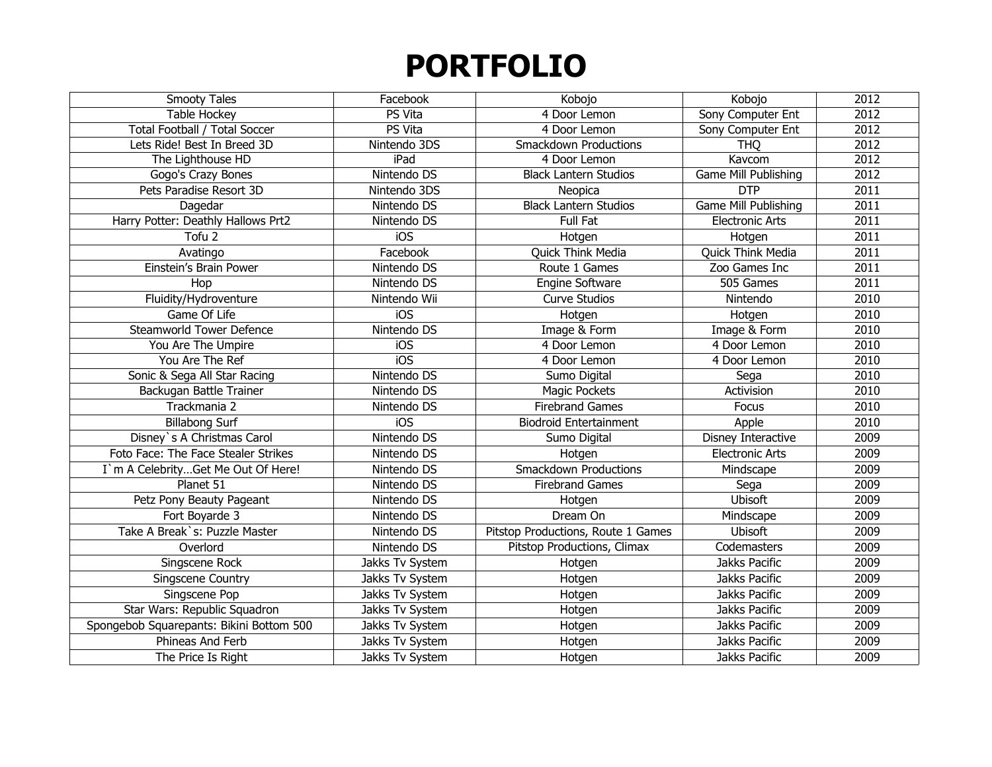| Smooty Tales                             | Facebook         | Kobojo                             | Kobojo                 | 2012 |
|------------------------------------------|------------------|------------------------------------|------------------------|------|
| Table Hockey                             | PS Vita          | 4 Door Lemon                       | Sony Computer Ent      | 2012 |
| Total Football / Total Soccer            | PS Vita          | 4 Door Lemon                       | Sony Computer Ent      | 2012 |
| Lets Ride! Best In Breed 3D              | Nintendo 3DS     | <b>Smackdown Productions</b>       | <b>THQ</b>             | 2012 |
| The Lighthouse HD                        | iPad             | 4 Door Lemon                       | Kavcom                 | 2012 |
| Gogo's Crazy Bones                       | Nintendo DS      | <b>Black Lantern Studios</b>       | Game Mill Publishing   | 2012 |
| Pets Paradise Resort 3D                  | Nintendo 3DS     | Neopica                            | <b>DTP</b>             | 2011 |
| Dagedar                                  | Nintendo DS      | <b>Black Lantern Studios</b>       | Game Mill Publishing   | 2011 |
| Harry Potter: Deathly Hallows Prt2       | Nintendo DS      | Full Fat                           | <b>Electronic Arts</b> | 2011 |
| Tofu <sub>2</sub>                        | iOS              | Hotgen                             | Hotgen                 | 2011 |
| Avatingo                                 | Facebook         | Quick Think Media                  | Quick Think Media      | 2011 |
| Einstein's Brain Power                   | Nintendo DS      | Route 1 Games                      | Zoo Games Inc          | 2011 |
| Hop                                      | Nintendo DS      | Engine Software                    | 505 Games              | 2011 |
| Fluidity/Hydroventure                    | Nintendo Wii     | <b>Curve Studios</b>               | Nintendo               | 2010 |
| Game Of Life                             | iOS              | Hotgen                             | Hotgen                 | 2010 |
| <b>Steamworld Tower Defence</b>          | Nintendo DS      | Image & Form                       | Image & Form           | 2010 |
| You Are The Umpire                       | iOS              | 4 Door Lemon                       | 4 Door Lemon           | 2010 |
| You Are The Ref                          | $\overline{10S}$ | 4 Door Lemon                       | 4 Door Lemon           | 2010 |
| Sonic & Sega All Star Racing             | Nintendo DS      | Sumo Digital                       | Sega                   | 2010 |
| Backugan Battle Trainer                  | Nintendo DS      | <b>Magic Pockets</b>               | Activision             | 2010 |
| Trackmania 2                             | Nintendo DS      | <b>Firebrand Games</b>             | Focus                  | 2010 |
| <b>Billabong Surf</b>                    | iOS              | <b>Biodroid Entertainment</b>      | Apple                  | 2010 |
| Disney's A Christmas Carol               | Nintendo DS      | Sumo Digital                       | Disney Interactive     | 2009 |
| Foto Face: The Face Stealer Strikes      | Nintendo DS      | Hotgen                             | <b>Electronic Arts</b> | 2009 |
| I'm A CelebrityGet Me Out Of Here!       | Nintendo DS      | <b>Smackdown Productions</b>       | Mindscape              | 2009 |
| Planet 51                                | Nintendo DS      | <b>Firebrand Games</b>             | Sega                   | 2009 |
| Petz Pony Beauty Pageant                 | Nintendo DS      | Hotgen                             | <b>Ubisoft</b>         | 2009 |
| Fort Boyarde 3                           | Nintendo DS      | Dream On                           | Mindscape              | 2009 |
| Take A Break's: Puzzle Master            | Nintendo DS      | Pitstop Productions, Route 1 Games | Ubisoft                | 2009 |
| Overlord                                 | Nintendo DS      | Pitstop Productions, Climax        | Codemasters            | 2009 |
| Singscene Rock                           | Jakks Tv System  | Hotgen                             | Jakks Pacific          | 2009 |
| Singscene Country                        | Jakks Tv System  | Hotgen                             | Jakks Pacific          | 2009 |
| Singscene Pop                            | Jakks Tv System  | Hotgen                             | Jakks Pacific          | 2009 |
| Star Wars: Republic Squadron             | Jakks Tv System  | Hotgen                             | Jakks Pacific          | 2009 |
| Spongebob Squarepants: Bikini Bottom 500 | Jakks Tv System  | Hotgen                             | Jakks Pacific          | 2009 |
| Phineas And Ferb                         | Jakks Tv System  | Hotgen                             | Jakks Pacific          | 2009 |
| The Price Is Right                       | Jakks Tv System  | Hotgen                             | Jakks Pacific          | 2009 |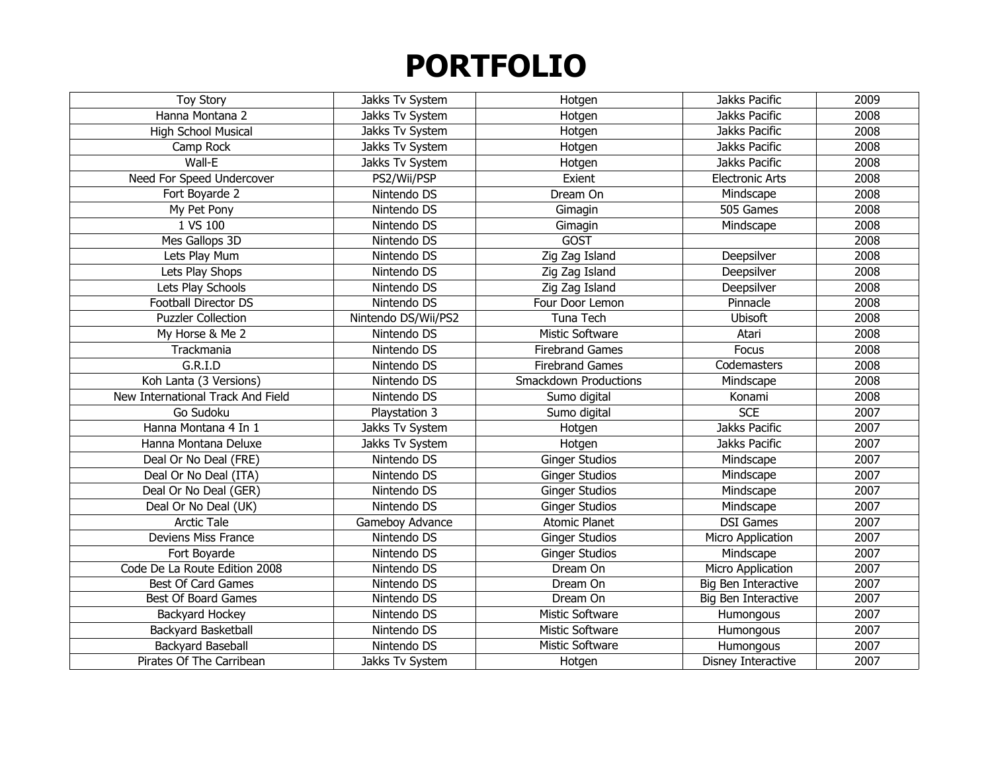| <b>Toy Story</b>                  | Jakks Tv System     | Hotgen                       | Jakks Pacific          | 2009 |
|-----------------------------------|---------------------|------------------------------|------------------------|------|
| Hanna Montana 2                   | Jakks Tv System     | Hotgen                       | Jakks Pacific          | 2008 |
| <b>High School Musical</b>        | Jakks Tv System     | Hotgen                       | Jakks Pacific          | 2008 |
| Camp Rock                         | Jakks Tv System     | Hotgen                       | Jakks Pacific          | 2008 |
| Wall-E                            | Jakks Tv System     | Hotgen                       | Jakks Pacific          | 2008 |
| Need For Speed Undercover         | PS2/Wii/PSP         | Exient                       | <b>Electronic Arts</b> | 2008 |
| Fort Boyarde 2                    | Nintendo DS         | Dream On                     | Mindscape              | 2008 |
| My Pet Pony                       | Nintendo DS         | Gimagin                      | 505 Games              | 2008 |
| 1 VS 100                          | Nintendo DS         | Gimagin                      | Mindscape              | 2008 |
| Mes Gallops 3D                    | Nintendo DS         | <b>GOST</b>                  |                        | 2008 |
| Lets Play Mum                     | Nintendo DS         | Zig Zag Island               | Deepsilver             | 2008 |
| Lets Play Shops                   | Nintendo DS         | Zig Zag Island               | Deepsilver             | 2008 |
| Lets Play Schools                 | Nintendo DS         | Zig Zag Island               | Deepsilver             | 2008 |
| Football Director DS              | Nintendo DS         | Four Door Lemon              | Pinnacle               | 2008 |
| <b>Puzzler Collection</b>         | Nintendo DS/Wii/PS2 | Tuna Tech                    | <b>Ubisoft</b>         | 2008 |
| My Horse & Me 2                   | Nintendo DS         | <b>Mistic Software</b>       | Atari                  | 2008 |
| Trackmania                        | Nintendo DS         | <b>Firebrand Games</b>       | Focus                  | 2008 |
| G.R.I.D                           | Nintendo DS         | <b>Firebrand Games</b>       | Codemasters            | 2008 |
| Koh Lanta (3 Versions)            | Nintendo DS         | <b>Smackdown Productions</b> | Mindscape              | 2008 |
| New International Track And Field | Nintendo DS         | Sumo digital                 | Konami                 | 2008 |
| Go Sudoku                         | Playstation 3       | Sumo digital                 | <b>SCE</b>             | 2007 |
| Hanna Montana 4 In 1              | Jakks Tv System     | Hotgen                       | Jakks Pacific          | 2007 |
| Hanna Montana Deluxe              | Jakks Tv System     | Hotgen                       | Jakks Pacific          | 2007 |
| Deal Or No Deal (FRE)             | Nintendo DS         | <b>Ginger Studios</b>        | Mindscape              | 2007 |
| Deal Or No Deal (ITA)             | Nintendo DS         | <b>Ginger Studios</b>        | Mindscape              | 2007 |
| Deal Or No Deal (GER)             | Nintendo DS         | <b>Ginger Studios</b>        | Mindscape              | 2007 |
| Deal Or No Deal (UK)              | Nintendo DS         | <b>Ginger Studios</b>        | Mindscape              | 2007 |
| <b>Arctic Tale</b>                | Gameboy Advance     | <b>Atomic Planet</b>         | <b>DSI Games</b>       | 2007 |
| Deviens Miss France               | Nintendo DS         | <b>Ginger Studios</b>        | Micro Application      | 2007 |
| Fort Boyarde                      | Nintendo DS         | <b>Ginger Studios</b>        | Mindscape              | 2007 |
| Code De La Route Edition 2008     | Nintendo DS         | Dream On                     | Micro Application      | 2007 |
| Best Of Card Games                | Nintendo DS         | Dream On                     | Big Ben Interactive    | 2007 |
| Best Of Board Games               | Nintendo DS         | Dream On                     | Big Ben Interactive    | 2007 |
| Backyard Hockey                   | Nintendo DS         | Mistic Software              | Humongous              | 2007 |
| Backyard Basketball               | Nintendo DS         | Mistic Software              | Humongous              | 2007 |
| Backyard Baseball                 | Nintendo DS         | <b>Mistic Software</b>       | Humongous              | 2007 |
| Pirates Of The Carribean          | Jakks Tv System     | Hotgen                       | Disney Interactive     | 2007 |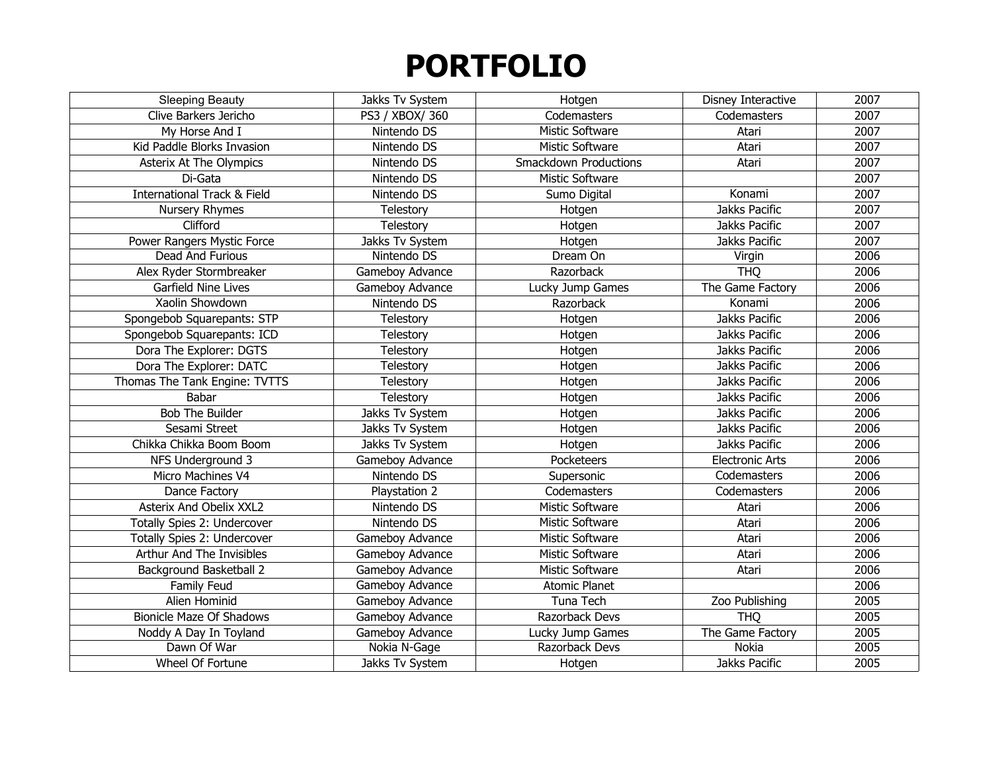| <b>Sleeping Beauty</b>                 | Jakks Tv System | Hotgen                       | Disney Interactive     | 2007 |
|----------------------------------------|-----------------|------------------------------|------------------------|------|
| Clive Barkers Jericho                  | PS3 / XBOX/ 360 | Codemasters                  | Codemasters            | 2007 |
| My Horse And I                         | Nintendo DS     | Mistic Software              | Atari                  | 2007 |
| Kid Paddle Blorks Invasion             | Nintendo DS     | <b>Mistic Software</b>       | Atari                  | 2007 |
| Asterix At The Olympics                | Nintendo DS     | <b>Smackdown Productions</b> | Atari                  | 2007 |
| Di-Gata                                | Nintendo DS     | Mistic Software              |                        | 2007 |
| <b>International Track &amp; Field</b> | Nintendo DS     | Sumo Digital                 | Konami                 | 2007 |
| Nursery Rhymes                         | Telestory       | Hotgen                       | Jakks Pacific          | 2007 |
| Clifford                               | Telestory       | Hotgen                       | Jakks Pacific          | 2007 |
| Power Rangers Mystic Force             | Jakks Tv System | Hotgen                       | Jakks Pacific          | 2007 |
| Dead And Furious                       | Nintendo DS     | Dream On                     | Virgin                 | 2006 |
| Alex Ryder Stormbreaker                | Gameboy Advance | Razorback                    | <b>THQ</b>             | 2006 |
| Garfield Nine Lives                    | Gameboy Advance | Lucky Jump Games             | The Game Factory       | 2006 |
| Xaolin Showdown                        | Nintendo DS     | Razorback                    | Konami                 | 2006 |
| Spongebob Squarepants: STP             | Telestory       | Hotgen                       | Jakks Pacific          | 2006 |
| Spongebob Squarepants: ICD             | Telestory       | Hotgen                       | Jakks Pacific          | 2006 |
| Dora The Explorer: DGTS                | Telestory       | Hotgen                       | Jakks Pacific          | 2006 |
| Dora The Explorer: DATC                | Telestory       | Hotgen                       | Jakks Pacific          | 2006 |
| Thomas The Tank Engine: TVTTS          | Telestory       | Hotgen                       | Jakks Pacific          | 2006 |
| Babar                                  | Telestory       | Hotgen                       | Jakks Pacific          | 2006 |
| <b>Bob The Builder</b>                 | Jakks Tv System | Hotgen                       | Jakks Pacific          | 2006 |
| Sesami Street                          | Jakks Tv System | Hotgen                       | Jakks Pacific          | 2006 |
| Chikka Chikka Boom Boom                | Jakks Tv System | Hotgen                       | Jakks Pacific          | 2006 |
| NFS Underground 3                      | Gameboy Advance | Pocketeers                   | <b>Electronic Arts</b> | 2006 |
| Micro Machines V4                      | Nintendo DS     | Supersonic                   | Codemasters            | 2006 |
| Dance Factory                          | Playstation 2   | Codemasters                  | Codemasters            | 2006 |
| Asterix And Obelix XXL2                | Nintendo DS     | <b>Mistic Software</b>       | Atari                  | 2006 |
| Totally Spies 2: Undercover            | Nintendo DS     | <b>Mistic Software</b>       | Atari                  | 2006 |
| Totally Spies 2: Undercover            | Gameboy Advance | Mistic Software              | Atari                  | 2006 |
| Arthur And The Invisibles              | Gameboy Advance | Mistic Software              | Atari                  | 2006 |
| Background Basketball 2                | Gameboy Advance | Mistic Software              | Atari                  | 2006 |
| Family Feud                            | Gameboy Advance | <b>Atomic Planet</b>         |                        | 2006 |
| Alien Hominid                          | Gameboy Advance | Tuna Tech                    | Zoo Publishing         | 2005 |
| <b>Bionicle Maze Of Shadows</b>        | Gameboy Advance | Razorback Devs               | <b>THQ</b>             | 2005 |
| Noddy A Day In Toyland                 | Gameboy Advance | Lucky Jump Games             | The Game Factory       | 2005 |
| Dawn Of War                            | Nokia N-Gage    | Razorback Devs               | Nokia                  | 2005 |
| Wheel Of Fortune                       | Jakks Tv System | Hotgen                       | Jakks Pacific          | 2005 |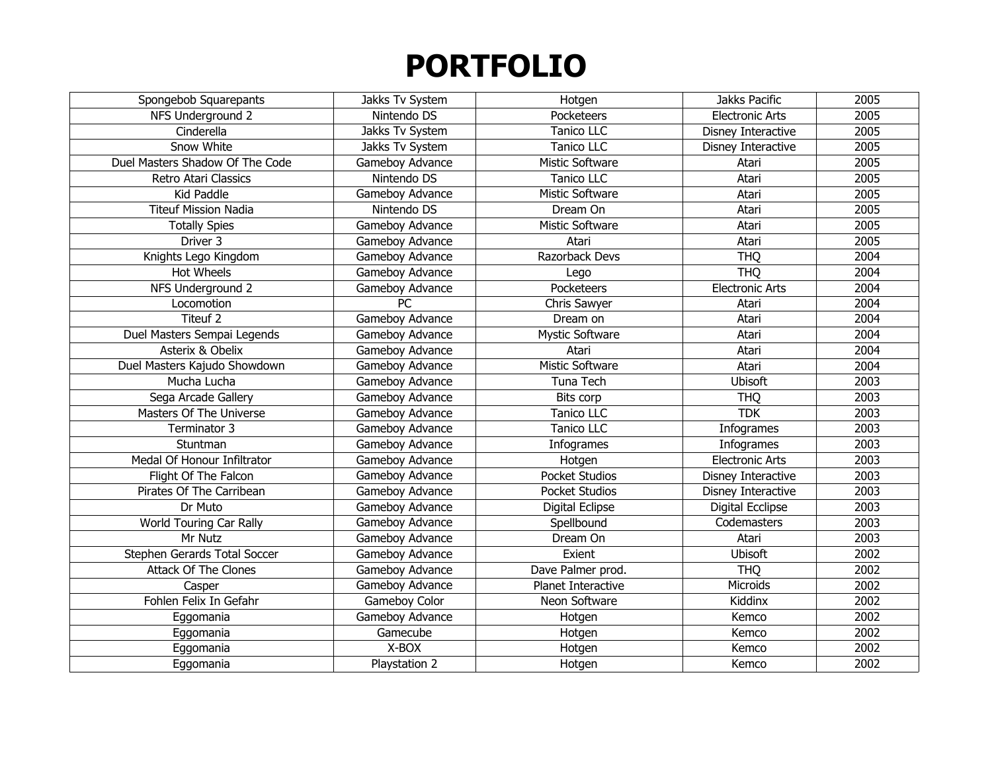| Spongebob Squarepants           | Jakks Tv System | Hotgen                 | Jakks Pacific          | 2005 |
|---------------------------------|-----------------|------------------------|------------------------|------|
| NFS Underground 2               | Nintendo DS     | Pocketeers             | <b>Electronic Arts</b> | 2005 |
| Cinderella                      | Jakks Tv System | <b>Tanico LLC</b>      | Disney Interactive     | 2005 |
| Snow White                      | Jakks Tv System | Tanico LLC             | Disney Interactive     | 2005 |
| Duel Masters Shadow Of The Code | Gameboy Advance | Mistic Software        | Atari                  | 2005 |
| Retro Atari Classics            | Nintendo DS     | Tanico LLC             | Atari                  | 2005 |
| Kid Paddle                      | Gameboy Advance | Mistic Software        | Atari                  | 2005 |
| <b>Titeuf Mission Nadia</b>     | Nintendo DS     | Dream On               | Atari                  | 2005 |
| <b>Totally Spies</b>            | Gameboy Advance | Mistic Software        | Atari                  | 2005 |
| Driver <sub>3</sub>             | Gameboy Advance | Atari                  | Atari                  | 2005 |
| Knights Lego Kingdom            | Gameboy Advance | Razorback Devs         | <b>THQ</b>             | 2004 |
| <b>Hot Wheels</b>               | Gameboy Advance | Lego                   | <b>THQ</b>             | 2004 |
| NFS Underground 2               | Gameboy Advance | Pocketeers             | <b>Electronic Arts</b> | 2004 |
| Locomotion                      | <b>PC</b>       | Chris Sawyer           | Atari                  | 2004 |
| Titeuf 2                        | Gameboy Advance | Dream on               | Atari                  | 2004 |
| Duel Masters Sempai Legends     | Gameboy Advance | <b>Mystic Software</b> | Atari                  | 2004 |
| Asterix & Obelix                | Gameboy Advance | Atari                  | Atari                  | 2004 |
| Duel Masters Kajudo Showdown    | Gameboy Advance | Mistic Software        | Atari                  | 2004 |
| Mucha Lucha                     | Gameboy Advance | Tuna Tech              | <b>Ubisoft</b>         | 2003 |
| Sega Arcade Gallery             | Gameboy Advance | Bits corp              | <b>THQ</b>             | 2003 |
| Masters Of The Universe         | Gameboy Advance | <b>Tanico LLC</b>      | <b>TDK</b>             | 2003 |
| Terminator 3                    | Gameboy Advance | <b>Tanico LLC</b>      | Infogrames             | 2003 |
| Stuntman                        | Gameboy Advance | Infogrames             | Infogrames             | 2003 |
| Medal Of Honour Infiltrator     | Gameboy Advance | Hotgen                 | <b>Electronic Arts</b> | 2003 |
| Flight Of The Falcon            | Gameboy Advance | <b>Pocket Studios</b>  | Disney Interactive     | 2003 |
| Pirates Of The Carribean        | Gameboy Advance | <b>Pocket Studios</b>  | Disney Interactive     | 2003 |
| Dr Muto                         | Gameboy Advance | Digital Eclipse        | Digital Ecclipse       | 2003 |
| World Touring Car Rally         | Gameboy Advance | Spellbound             | Codemasters            | 2003 |
| Mr Nutz                         | Gameboy Advance | Dream On               | Atari                  | 2003 |
| Stephen Gerards Total Soccer    | Gameboy Advance | Exient                 | Ubisoft                | 2002 |
| <b>Attack Of The Clones</b>     | Gameboy Advance | Dave Palmer prod.      | <b>THQ</b>             | 2002 |
| Casper                          | Gameboy Advance | Planet Interactive     | Microids               | 2002 |
| Fohlen Felix In Gefahr          | Gameboy Color   | Neon Software          | Kiddinx                | 2002 |
| Eggomania                       | Gameboy Advance | Hotgen                 | Kemco                  | 2002 |
| Eggomania                       | Gamecube        | Hotgen                 | Kemco                  | 2002 |
| Eggomania                       | X-BOX           | Hotgen                 | Kemco                  | 2002 |
| Eggomania                       | Playstation 2   | Hotgen                 | Kemco                  | 2002 |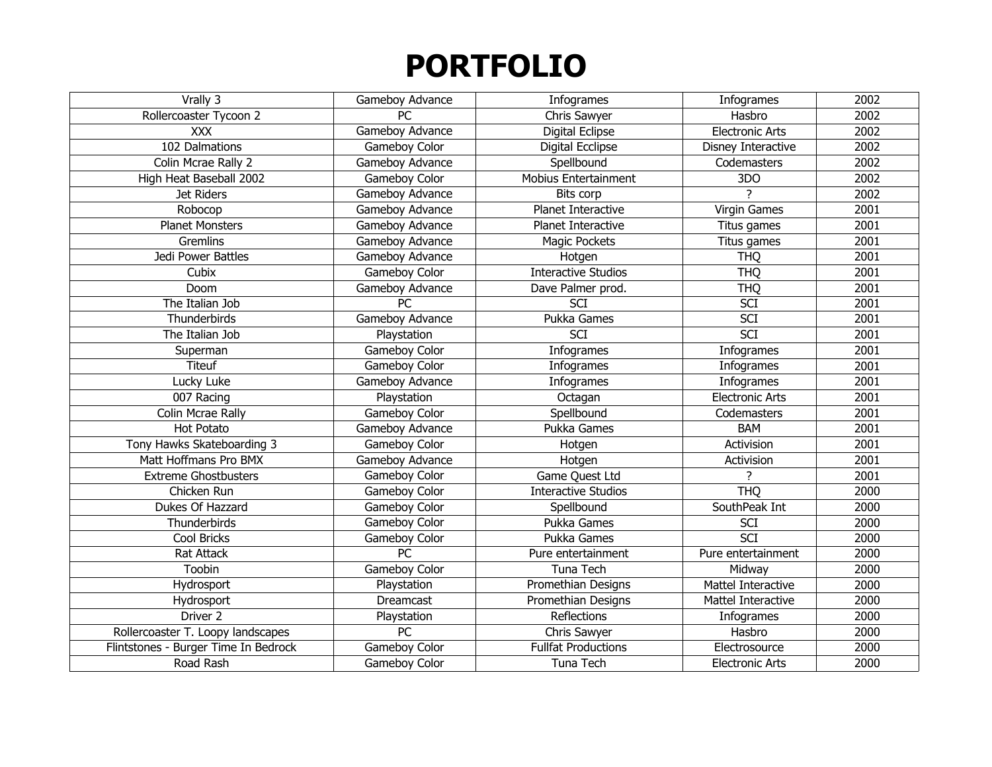| Vrally 3                             | Gameboy Advance | Infogrames                  | Infogrames             | 2002 |
|--------------------------------------|-----------------|-----------------------------|------------------------|------|
| Rollercoaster Tycoon 2               | <b>PC</b>       | Chris Sawyer                | Hasbro                 | 2002 |
| <b>XXX</b>                           | Gameboy Advance | Digital Eclipse             | <b>Electronic Arts</b> | 2002 |
| 102 Dalmations                       | Gameboy Color   | <b>Digital Ecclipse</b>     | Disney Interactive     | 2002 |
| Colin Mcrae Rally 2                  | Gameboy Advance | Spellbound                  | Codemasters            | 2002 |
| High Heat Baseball 2002              | Gameboy Color   | <b>Mobius Entertainment</b> | 3DO                    | 2002 |
| Jet Riders                           | Gameboy Advance | <b>Bits corp</b>            |                        | 2002 |
| Robocop                              | Gameboy Advance | Planet Interactive          | Virgin Games           | 2001 |
| <b>Planet Monsters</b>               | Gameboy Advance | Planet Interactive          | Titus games            | 2001 |
| Gremlins                             | Gameboy Advance | Magic Pockets               | Titus games            | 2001 |
| Jedi Power Battles                   | Gameboy Advance | Hotgen                      | <b>THQ</b>             | 2001 |
| Cubix                                | Gameboy Color   | <b>Interactive Studios</b>  | <b>THQ</b>             | 2001 |
| Doom                                 | Gameboy Advance | Dave Palmer prod.           | <b>THQ</b>             | 2001 |
| The Italian Job                      | <b>PC</b>       | <b>SCI</b>                  | <b>SCI</b>             | 2001 |
| Thunderbirds                         | Gameboy Advance | Pukka Games                 | <b>SCI</b>             | 2001 |
| The Italian Job                      | Playstation     | <b>SCI</b>                  | <b>SCI</b>             | 2001 |
| Superman                             | Gameboy Color   | Infogrames                  | Infogrames             | 2001 |
| <b>Titeuf</b>                        | Gameboy Color   | Infogrames                  | Infogrames             | 2001 |
| Lucky Luke                           | Gameboy Advance | Infogrames                  | Infogrames             | 2001 |
| 007 Racing                           | Playstation     | Octagan                     | <b>Electronic Arts</b> | 2001 |
| Colin Mcrae Rally                    | Gameboy Color   | Spellbound                  | Codemasters            | 2001 |
| <b>Hot Potato</b>                    | Gameboy Advance | Pukka Games                 | <b>BAM</b>             | 2001 |
| Tony Hawks Skateboarding 3           | Gameboy Color   | Hotgen                      | Activision             | 2001 |
| Matt Hoffmans Pro BMX                | Gameboy Advance | Hotgen                      | Activision             | 2001 |
| <b>Extreme Ghostbusters</b>          | Gameboy Color   | Game Quest Ltd              | 7                      | 2001 |
| Chicken Run                          | Gameboy Color   | <b>Interactive Studios</b>  | <b>THO</b>             | 2000 |
| Dukes Of Hazzard                     | Gameboy Color   | Spellbound                  | SouthPeak Int          | 2000 |
| Thunderbirds                         | Gameboy Color   | Pukka Games                 | <b>SCI</b>             | 2000 |
| Cool Bricks                          | Gameboy Color   | Pukka Games                 | <b>SCI</b>             | 2000 |
| <b>Rat Attack</b>                    | PC              | Pure entertainment          | Pure entertainment     | 2000 |
| Toobin                               | Gameboy Color   | Tuna Tech                   | Midway                 | 2000 |
| Hydrosport                           | Playstation     | Promethian Designs          | Mattel Interactive     | 2000 |
| Hydrosport                           | Dreamcast       | Promethian Designs          | Mattel Interactive     | 2000 |
| Driver <sub>2</sub>                  | Playstation     | Reflections                 | Infogrames             | 2000 |
| Rollercoaster T. Loopy landscapes    | $\overline{PC}$ | Chris Sawyer                | Hasbro                 | 2000 |
| Flintstones - Burger Time In Bedrock | Gameboy Color   | <b>Fullfat Productions</b>  | Electrosource          | 2000 |
| Road Rash                            | Gameboy Color   | Tuna Tech                   | <b>Electronic Arts</b> | 2000 |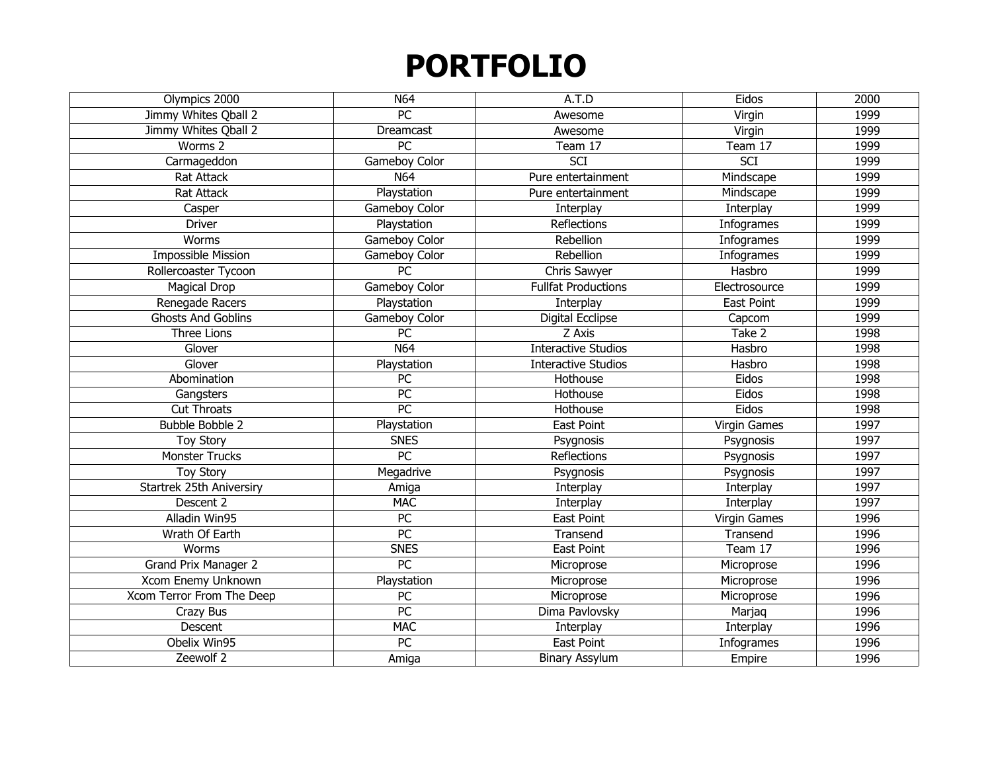| Olympics 2000             | N64             | A.T.D                      | Eidos             | 2000 |
|---------------------------|-----------------|----------------------------|-------------------|------|
| Jimmy Whites Qball 2      | $\overline{PC}$ | Awesome                    | Virgin            | 1999 |
| Jimmy Whites Qball 2      | Dreamcast       | Awesome                    | Virgin            | 1999 |
| Worms 2                   | $\overline{PC}$ | Team 17                    | Team 17           | 1999 |
| Carmageddon               | Gameboy Color   | <b>SCI</b>                 | <b>SCI</b>        | 1999 |
| <b>Rat Attack</b>         | N64             | Pure entertainment         | Mindscape         | 1999 |
| <b>Rat Attack</b>         | Playstation     | Pure entertainment         | Mindscape         | 1999 |
| Casper                    | Gameboy Color   | Interplay                  | Interplay         | 1999 |
| <b>Driver</b>             | Playstation     | <b>Reflections</b>         | Infogrames        | 1999 |
| Worms                     | Gameboy Color   | Rebellion                  | Infogrames        | 1999 |
| <b>Impossible Mission</b> | Gameboy Color   | Rebellion                  | Infogrames        | 1999 |
| Rollercoaster Tycoon      | PC              | Chris Sawyer               | Hasbro            | 1999 |
| <b>Magical Drop</b>       | Gameboy Color   | <b>Fullfat Productions</b> | Electrosource     | 1999 |
| Renegade Racers           | Playstation     | Interplay                  | <b>East Point</b> | 1999 |
| <b>Ghosts And Goblins</b> | Gameboy Color   | Digital Ecclipse           | Capcom            | 1999 |
| Three Lions               | PC              | Z Axis                     | Take 2            | 1998 |
| Glover                    | N64             | <b>Interactive Studios</b> | Hasbro            | 1998 |
| Glover                    | Playstation     | <b>Interactive Studios</b> | Hasbro            | 1998 |
| Abomination               | PC              | Hothouse                   | Eidos             | 1998 |
| Gangsters                 | $\overline{PC}$ | Hothouse                   | Eidos             | 1998 |
| <b>Cut Throats</b>        | $\overline{PC}$ | Hothouse                   | Eidos             | 1998 |
| <b>Bubble Bobble 2</b>    | Playstation     | East Point                 | Virgin Games      | 1997 |
| <b>Toy Story</b>          | <b>SNES</b>     | Psygnosis                  | Psygnosis         | 1997 |
| <b>Monster Trucks</b>     | PC              | <b>Reflections</b>         | Psygnosis         | 1997 |
| <b>Toy Story</b>          | Megadrive       | Psygnosis                  | Psygnosis         | 1997 |
| Startrek 25th Aniversiry  | Amiga           | Interplay                  | Interplay         | 1997 |
| Descent 2                 | <b>MAC</b>      | Interplay                  | Interplay         | 1997 |
| Alladin Win95             | PC              | <b>East Point</b>          | Virgin Games      | 1996 |
| Wrath Of Earth            | $\overline{PC}$ | Transend                   | Transend          | 1996 |
| Worms                     | <b>SNES</b>     | <b>East Point</b>          | Team 17           | 1996 |
| Grand Prix Manager 2      | PC              | Microprose                 | Microprose        | 1996 |
| Xcom Enemy Unknown        | Playstation     | Microprose                 | Microprose        | 1996 |
| Xcom Terror From The Deep | PC              | Microprose                 | Microprose        | 1996 |
| Crazy Bus                 | PC              | Dima Pavlovsky             | Marjaq            | 1996 |
| Descent                   | <b>MAC</b>      | Interplay                  | Interplay         | 1996 |
| Obelix Win95              | PC              | East Point                 | Infogrames        | 1996 |
| Zeewolf 2                 | Amiga           | <b>Binary Assylum</b>      | Empire            | 1996 |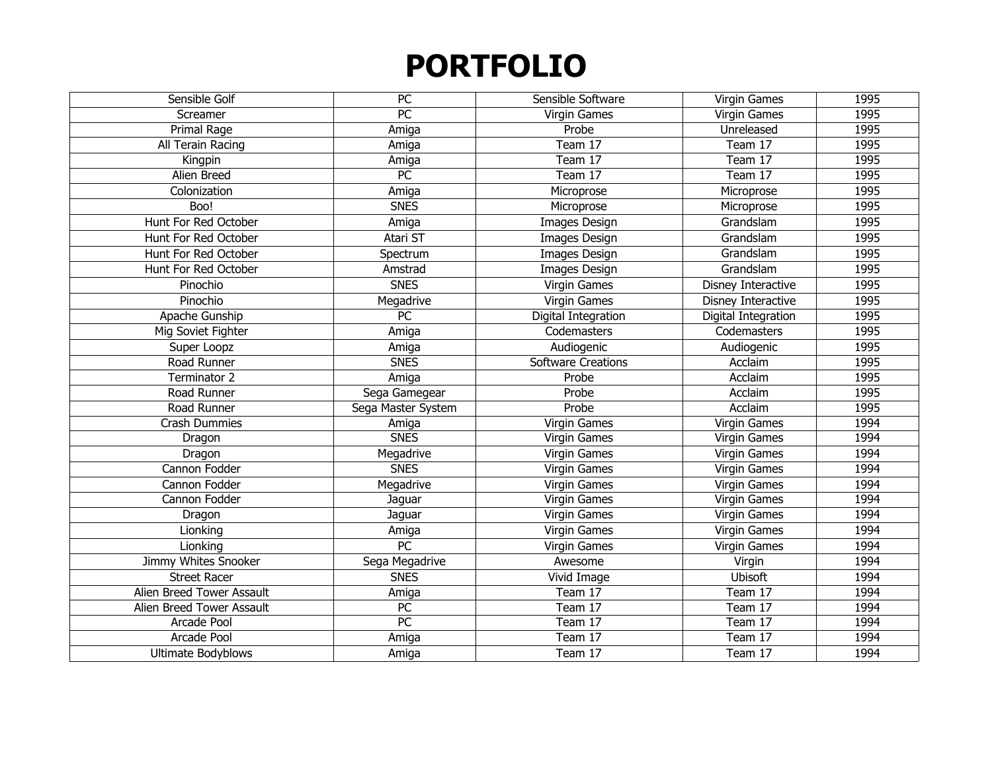| Sensible Golf             | PC                 | Sensible Software         | Virgin Games        | 1995 |
|---------------------------|--------------------|---------------------------|---------------------|------|
| Screamer                  | $\overline{PC}$    | <b>Virgin Games</b>       | Virgin Games        | 1995 |
| Primal Rage               | Amiga              | Probe                     | Unreleased          | 1995 |
| All Terain Racing         | Amiga              | Team 17                   | Team 17             | 1995 |
| Kingpin                   | Amiga              | Team 17                   | Team 17             | 1995 |
| Alien Breed               | PC                 | Team 17                   | Team 17             | 1995 |
| Colonization              | Amiga              | Microprose                | Microprose          | 1995 |
| Boo!                      | <b>SNES</b>        | Microprose                | Microprose          | 1995 |
| Hunt For Red October      | Amiga              | Images Design             | Grandslam           | 1995 |
| Hunt For Red October      | Atari ST           | Images Design             | Grandslam           | 1995 |
| Hunt For Red October      | Spectrum           | Images Design             | Grandslam           | 1995 |
| Hunt For Red October      | Amstrad            | Images Design             | Grandslam           | 1995 |
| Pinochio                  | <b>SNES</b>        | Virgin Games              | Disney Interactive  | 1995 |
| Pinochio                  | Megadrive          | Virgin Games              | Disney Interactive  | 1995 |
| Apache Gunship            | $\overline{PC}$    | Digital Integration       | Digital Integration | 1995 |
| Mig Soviet Fighter        | Amiga              | Codemasters               | Codemasters         | 1995 |
| Super Loopz               | Amiga              | Audiogenic                | Audiogenic          | 1995 |
| Road Runner               | <b>SNES</b>        | <b>Software Creations</b> | Acclaim             | 1995 |
| Terminator 2              | Amiga              | Probe                     | Acclaim             | 1995 |
| Road Runner               | Sega Gamegear      | Probe                     | Acclaim             | 1995 |
| Road Runner               | Sega Master System | Probe                     | Acclaim             | 1995 |
| Crash Dummies             | Amiga              | Virgin Games              | Virgin Games        | 1994 |
| Dragon                    | <b>SNES</b>        | Virgin Games              | Virgin Games        | 1994 |
| Dragon                    | Megadrive          | Virgin Games              | Virgin Games        | 1994 |
| Cannon Fodder             | <b>SNES</b>        | Virgin Games              | Virgin Games        | 1994 |
| Cannon Fodder             | Megadrive          | Virgin Games              | Virgin Games        | 1994 |
| Cannon Fodder             | Jaguar             | Virgin Games              | Virgin Games        | 1994 |
| Dragon                    | Jaguar             | Virgin Games              | Virgin Games        | 1994 |
| Lionking                  | Amiga              | Virgin Games              | Virgin Games        | 1994 |
| Lionking                  | PC                 | <b>Virgin Games</b>       | Virgin Games        | 1994 |
| Jimmy Whites Snooker      | Sega Megadrive     | Awesome                   | Virgin              | 1994 |
| <b>Street Racer</b>       | <b>SNES</b>        | Vivid Image               | <b>Ubisoft</b>      | 1994 |
| Alien Breed Tower Assault | Amiga              | Team 17                   | Team 17             | 1994 |
| Alien Breed Tower Assault | PC                 | Team 17                   | Team 17             | 1994 |
| Arcade Pool               | $\overline{PC}$    | Team 17                   | Team 17             | 1994 |
| Arcade Pool               | Amiga              | Team 17                   | Team 17             | 1994 |
| <b>Ultimate Bodyblows</b> | Amiga              | Team 17                   | Team 17             | 1994 |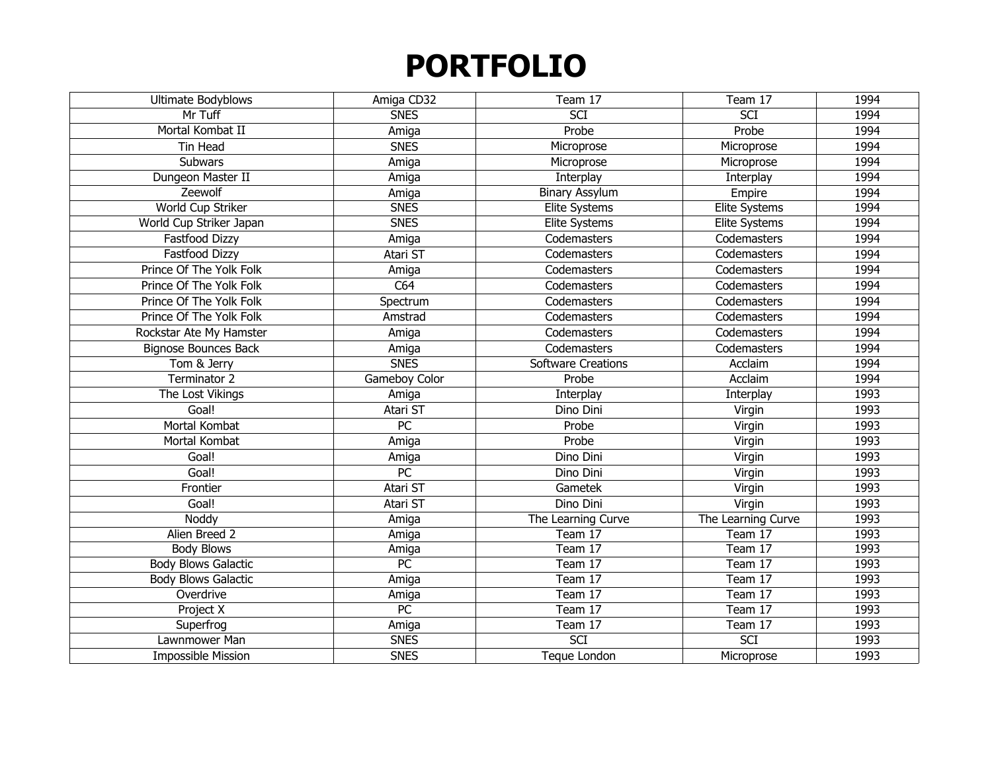| Ultimate Bodyblows          | Amiga CD32      | Team 17                   | Team 17              | 1994 |
|-----------------------------|-----------------|---------------------------|----------------------|------|
| Mr Tuff                     | <b>SNES</b>     | $\overline{SCI}$          | SCI                  | 1994 |
| Mortal Kombat II            | Amiga           | Probe                     | Probe                | 1994 |
| Tin Head                    | <b>SNES</b>     | Microprose                | Microprose           | 1994 |
| Subwars                     | Amiga           | Microprose                | Microprose           | 1994 |
| Dungeon Master II           | Amiga           | Interplay                 | Interplay            | 1994 |
| Zeewolf                     | Amiga           | <b>Binary Assylum</b>     | Empire               | 1994 |
| World Cup Striker           | <b>SNES</b>     | Elite Systems             | <b>Elite Systems</b> | 1994 |
| World Cup Striker Japan     | <b>SNES</b>     | Elite Systems             | Elite Systems        | 1994 |
| Fastfood Dizzy              | Amiga           | Codemasters               | Codemasters          | 1994 |
| Fastfood Dizzy              | Atari ST        | Codemasters               | Codemasters          | 1994 |
| Prince Of The Yolk Folk     | Amiga           | Codemasters               | Codemasters          | 1994 |
| Prince Of The Yolk Folk     | C64             | Codemasters               | Codemasters          | 1994 |
| Prince Of The Yolk Folk     | Spectrum        | Codemasters               | Codemasters          | 1994 |
| Prince Of The Yolk Folk     | Amstrad         | Codemasters               | Codemasters          | 1994 |
| Rockstar Ate My Hamster     | Amiga           | Codemasters               | Codemasters          | 1994 |
| <b>Bignose Bounces Back</b> | Amiga           | Codemasters               | Codemasters          | 1994 |
| Tom & Jerry                 | <b>SNES</b>     | <b>Software Creations</b> | Acclaim              | 1994 |
| Terminator 2                | Gameboy Color   | Probe                     | Acclaim              | 1994 |
| The Lost Vikings            | Amiga           | Interplay                 | Interplay            | 1993 |
| Goal!                       | Atari ST        | Dino Dini                 | Virgin               | 1993 |
| Mortal Kombat               | <b>PC</b>       | Probe                     | Virgin               | 1993 |
| Mortal Kombat               | Amiga           | Probe                     | Virgin               | 1993 |
| Goal!                       | Amiga           | Dino Dini                 | Virgin               | 1993 |
| Goal!                       | PC              | Dino Dini                 | Virgin               | 1993 |
| Frontier                    | Atari ST        | Gametek                   | Virgin               | 1993 |
| Goal!                       | Atari ST        | Dino Dini                 | Virgin               | 1993 |
| Noddy                       | Amiga           | The Learning Curve        | The Learning Curve   | 1993 |
| Alien Breed 2               | Amiga           | Team 17                   | Team 17              | 1993 |
| <b>Body Blows</b>           | Amiga           | Team 17                   | Team 17              | 1993 |
| <b>Body Blows Galactic</b>  | $\overline{PC}$ | Team 17                   | Team 17              | 1993 |
| <b>Body Blows Galactic</b>  | Amiga           | Team 17                   | Team 17              | 1993 |
| Overdrive                   | Amiga           | Team 17                   | Team 17              | 1993 |
| Project X                   | $\overline{PC}$ | Team 17                   | Team 17              | 1993 |
| Superfrog                   | Amiga           | Team 17                   | Team 17              | 1993 |
| Lawnmower Man               | <b>SNES</b>     | SCI                       | SCI                  | 1993 |
| <b>Impossible Mission</b>   | <b>SNES</b>     | <b>Teque London</b>       | Microprose           | 1993 |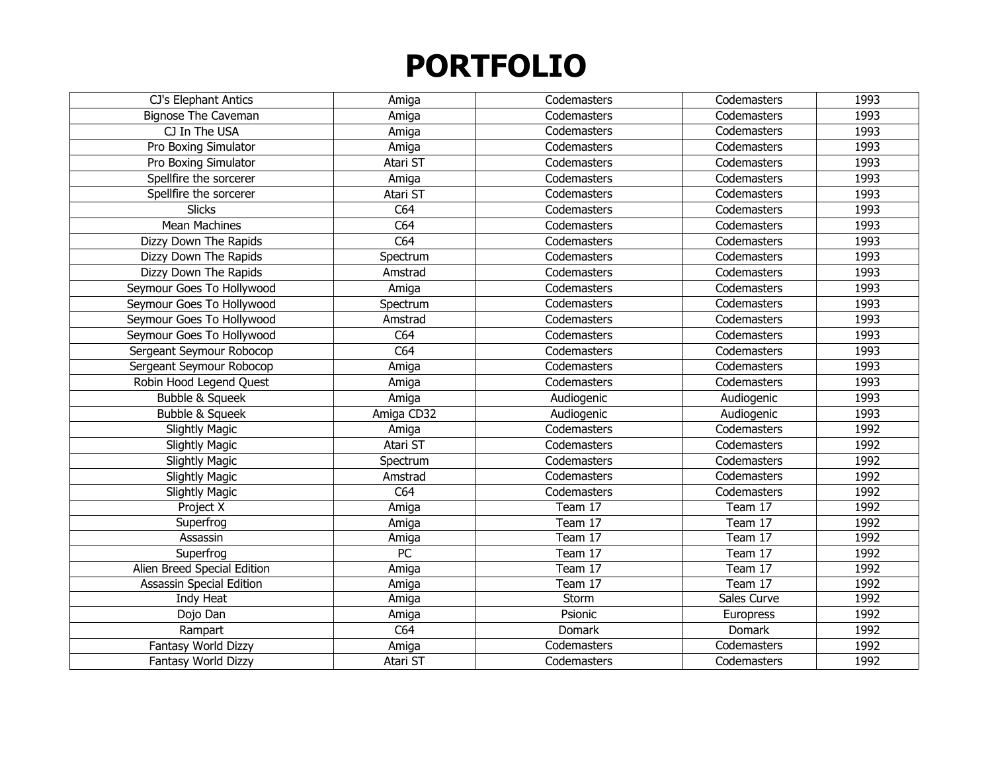| CJ's Elephant Antics            | Amiga      | Codemasters | Codemasters | 1993 |
|---------------------------------|------------|-------------|-------------|------|
| <b>Bignose The Caveman</b>      | Amiga      | Codemasters | Codemasters | 1993 |
| CJ In The USA                   | Amiga      | Codemasters | Codemasters | 1993 |
| Pro Boxing Simulator            | Amiga      | Codemasters | Codemasters | 1993 |
| Pro Boxing Simulator            | Atari ST   | Codemasters | Codemasters | 1993 |
| Spellfire the sorcerer          | Amiga      | Codemasters | Codemasters | 1993 |
| Spellfire the sorcerer          | Atari ST   | Codemasters | Codemasters | 1993 |
| <b>Slicks</b>                   | C64        | Codemasters | Codemasters | 1993 |
| <b>Mean Machines</b>            | C64        | Codemasters | Codemasters | 1993 |
| Dizzy Down The Rapids           | C64        | Codemasters | Codemasters | 1993 |
| Dizzy Down The Rapids           | Spectrum   | Codemasters | Codemasters | 1993 |
| Dizzy Down The Rapids           | Amstrad    | Codemasters | Codemasters | 1993 |
| Seymour Goes To Hollywood       | Amiga      | Codemasters | Codemasters | 1993 |
| Seymour Goes To Hollywood       | Spectrum   | Codemasters | Codemasters | 1993 |
| Seymour Goes To Hollywood       | Amstrad    | Codemasters | Codemasters | 1993 |
| Seymour Goes To Hollywood       | C64        | Codemasters | Codemasters | 1993 |
| Sergeant Seymour Robocop        | C64        | Codemasters | Codemasters | 1993 |
| Sergeant Seymour Robocop        | Amiga      | Codemasters | Codemasters | 1993 |
| Robin Hood Legend Quest         | Amiga      | Codemasters | Codemasters | 1993 |
| Bubble & Squeek                 | Amiga      | Audiogenic  | Audiogenic  | 1993 |
| Bubble & Squeek                 | Amiga CD32 | Audiogenic  | Audiogenic  | 1993 |
| <b>Slightly Magic</b>           | Amiga      | Codemasters | Codemasters | 1992 |
| <b>Slightly Magic</b>           | Atari ST   | Codemasters | Codemasters | 1992 |
| <b>Slightly Magic</b>           | Spectrum   | Codemasters | Codemasters | 1992 |
| Slightly Magic                  | Amstrad    | Codemasters | Codemasters | 1992 |
| <b>Slightly Magic</b>           | C64        | Codemasters | Codemasters | 1992 |
| Project X                       | Amiga      | Team 17     | Team 17     | 1992 |
| Superfrog                       | Amiga      | Team 17     | Team 17     | 1992 |
| Assassin                        | Amiga      | Team 17     | Team 17     | 1992 |
| Superfrog                       | PC         | Team 17     | Team 17     | 1992 |
| Alien Breed Special Edition     | Amiga      | Team 17     | Team 17     | 1992 |
| <b>Assassin Special Edition</b> | Amiga      | Team 17     | Team 17     | 1992 |
| Indy Heat                       | Amiga      | Storm       | Sales Curve | 1992 |
| Dojo Dan                        | Amiga      | Psionic     | Europress   | 1992 |
| Rampart                         | C64        | Domark      | Domark      | 1992 |
| Fantasy World Dizzy             | Amiga      | Codemasters | Codemasters | 1992 |
| Fantasy World Dizzy             | Atari ST   | Codemasters | Codemasters | 1992 |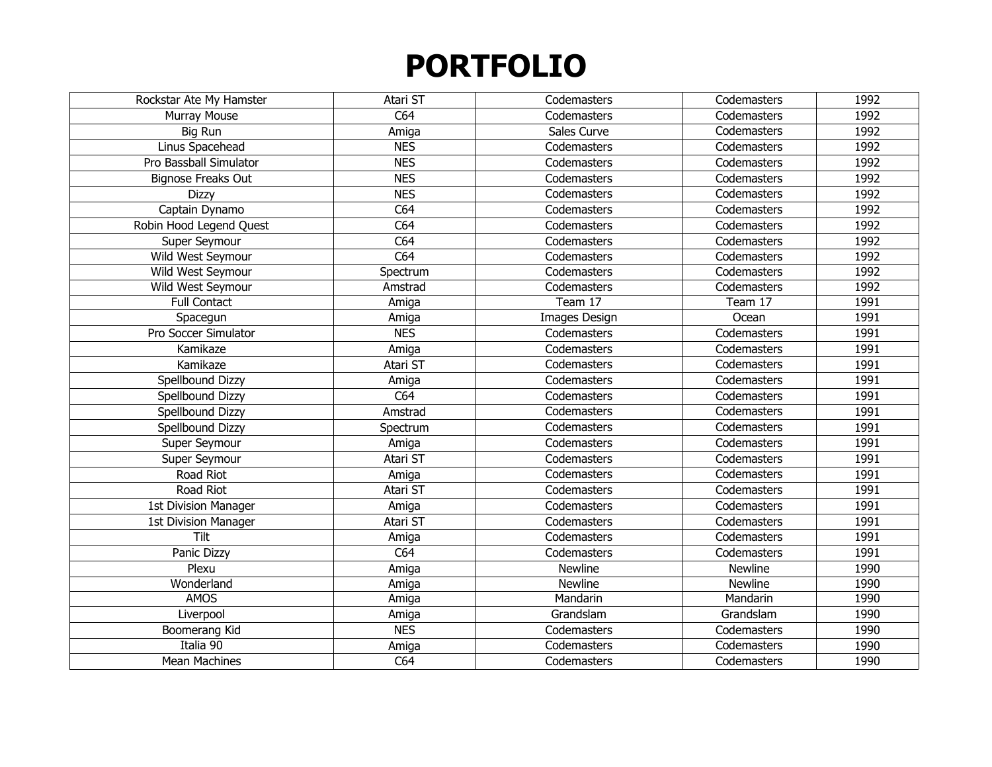| Rockstar Ate My Hamster   | Atari ST   | Codemasters    | Codemasters    | 1992 |
|---------------------------|------------|----------------|----------------|------|
| Murray Mouse              | C64        | Codemasters    | Codemasters    | 1992 |
| Big Run                   | Amiga      | Sales Curve    | Codemasters    | 1992 |
| Linus Spacehead           | <b>NES</b> | Codemasters    | Codemasters    | 1992 |
| Pro Bassball Simulator    | <b>NES</b> | Codemasters    | Codemasters    | 1992 |
| <b>Bignose Freaks Out</b> | <b>NES</b> | Codemasters    | Codemasters    | 1992 |
| <b>Dizzy</b>              | <b>NES</b> | Codemasters    | Codemasters    | 1992 |
| Captain Dynamo            | C64        | Codemasters    | Codemasters    | 1992 |
| Robin Hood Legend Quest   | C64        | Codemasters    | Codemasters    | 1992 |
| Super Seymour             | C64        | Codemasters    | Codemasters    | 1992 |
| Wild West Seymour         | C64        | Codemasters    | Codemasters    | 1992 |
| Wild West Seymour         | Spectrum   | Codemasters    | Codemasters    | 1992 |
| Wild West Seymour         | Amstrad    | Codemasters    | Codemasters    | 1992 |
| <b>Full Contact</b>       | Amiga      | Team 17        | Team 17        | 1991 |
| Spacegun                  | Amiga      | Images Design  | Ocean          | 1991 |
| Pro Soccer Simulator      | <b>NES</b> | Codemasters    | Codemasters    | 1991 |
| Kamikaze                  | Amiga      | Codemasters    | Codemasters    | 1991 |
| Kamikaze                  | Atari ST   | Codemasters    | Codemasters    | 1991 |
| Spellbound Dizzy          | Amiga      | Codemasters    | Codemasters    | 1991 |
| Spellbound Dizzy          | C64        | Codemasters    | Codemasters    | 1991 |
| Spellbound Dizzy          | Amstrad    | Codemasters    | Codemasters    | 1991 |
| Spellbound Dizzy          | Spectrum   | Codemasters    | Codemasters    | 1991 |
| Super Seymour             | Amiga      | Codemasters    | Codemasters    | 1991 |
| Super Seymour             | Atari ST   | Codemasters    | Codemasters    | 1991 |
| Road Riot                 | Amiga      | Codemasters    | Codemasters    | 1991 |
| Road Riot                 | Atari ST   | Codemasters    | Codemasters    | 1991 |
| 1st Division Manager      | Amiga      | Codemasters    | Codemasters    | 1991 |
| 1st Division Manager      | Atari ST   | Codemasters    | Codemasters    | 1991 |
| Tilt                      | Amiga      | Codemasters    | Codemasters    | 1991 |
| Panic Dizzy               | C64        | Codemasters    | Codemasters    | 1991 |
| Plexu                     | Amiga      | <b>Newline</b> | <b>Newline</b> | 1990 |
| Wonderland                | Amiga      | <b>Newline</b> | <b>Newline</b> | 1990 |
| <b>AMOS</b>               | Amiga      | Mandarin       | Mandarin       | 1990 |
| Liverpool                 | Amiga      | Grandslam      | Grandslam      | 1990 |
| Boomerang Kid             | <b>NES</b> | Codemasters    | Codemasters    | 1990 |
| Italia 90                 | Amiga      | Codemasters    | Codemasters    | 1990 |
| <b>Mean Machines</b>      | C64        | Codemasters    | Codemasters    | 1990 |